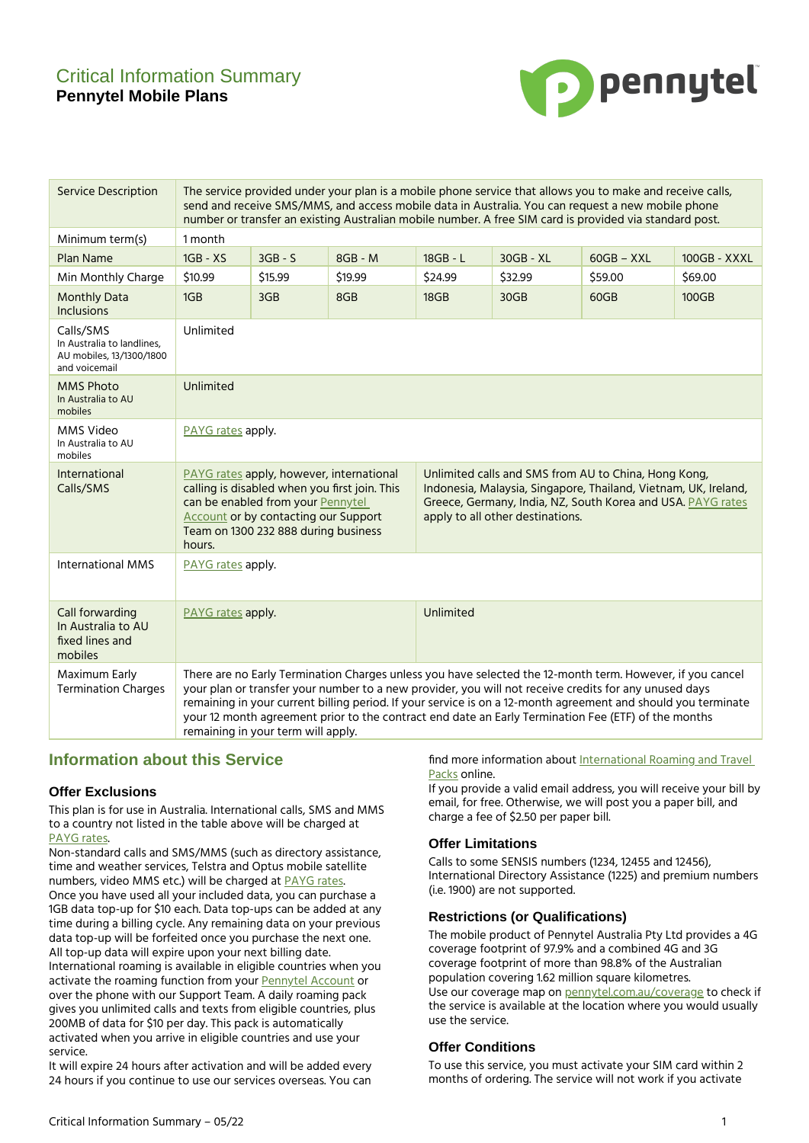# Critical Information Summary **Pennytel Mobile Plans**



| <b>Service Description</b>                                                           | The service provided under your plan is a mobile phone service that allows you to make and receive calls,<br>send and receive SMS/MMS, and access mobile data in Australia. You can request a new mobile phone<br>number or transfer an existing Australian mobile number. A free SIM card is provided via standard post.                                                                                                                                                        |                                                                                                                                                                                                                       |           |                                                                                                                                                                                                                            |             |              |              |
|--------------------------------------------------------------------------------------|----------------------------------------------------------------------------------------------------------------------------------------------------------------------------------------------------------------------------------------------------------------------------------------------------------------------------------------------------------------------------------------------------------------------------------------------------------------------------------|-----------------------------------------------------------------------------------------------------------------------------------------------------------------------------------------------------------------------|-----------|----------------------------------------------------------------------------------------------------------------------------------------------------------------------------------------------------------------------------|-------------|--------------|--------------|
| Minimum term(s)                                                                      | 1 month                                                                                                                                                                                                                                                                                                                                                                                                                                                                          |                                                                                                                                                                                                                       |           |                                                                                                                                                                                                                            |             |              |              |
| <b>Plan Name</b>                                                                     | 1GB - XS                                                                                                                                                                                                                                                                                                                                                                                                                                                                         | $3GB - S$                                                                                                                                                                                                             | $8GB - M$ | 18GB - L                                                                                                                                                                                                                   | $30GB - XL$ | $60GB - XXL$ | 100GB - XXXL |
| Min Monthly Charge                                                                   | \$10.99                                                                                                                                                                                                                                                                                                                                                                                                                                                                          | \$15.99                                                                                                                                                                                                               | \$19.99   | \$24.99                                                                                                                                                                                                                    | \$32.99     | \$59.00      | \$69.00      |
| <b>Monthly Data</b><br><b>Inclusions</b>                                             | 1GB                                                                                                                                                                                                                                                                                                                                                                                                                                                                              | 3GB                                                                                                                                                                                                                   | 8GB       | 18GB                                                                                                                                                                                                                       | 30GB        | 60GB         | 100GB        |
| Calls/SMS<br>In Australia to landlines,<br>AU mobiles, 13/1300/1800<br>and voicemail | Unlimited                                                                                                                                                                                                                                                                                                                                                                                                                                                                        |                                                                                                                                                                                                                       |           |                                                                                                                                                                                                                            |             |              |              |
| <b>MMS Photo</b><br>In Australia to AU<br>mobiles                                    | Unlimited                                                                                                                                                                                                                                                                                                                                                                                                                                                                        |                                                                                                                                                                                                                       |           |                                                                                                                                                                                                                            |             |              |              |
| MMS Video<br>In Australia to AU<br>mobiles                                           | PAYG rates apply.                                                                                                                                                                                                                                                                                                                                                                                                                                                                |                                                                                                                                                                                                                       |           |                                                                                                                                                                                                                            |             |              |              |
| <b>International</b><br>Calls/SMS                                                    | hours.                                                                                                                                                                                                                                                                                                                                                                                                                                                                           | PAYG rates apply, however, international<br>calling is disabled when you first join. This<br>can be enabled from your Pennytel<br><b>Account or by contacting our Support</b><br>Team on 1300 232 888 during business |           | Unlimited calls and SMS from AU to China, Hong Kong,<br>Indonesia, Malaysia, Singapore, Thailand, Vietnam, UK, Ireland,<br>Greece, Germany, India, NZ, South Korea and USA. PAYG rates<br>apply to all other destinations. |             |              |              |
| <b>International MMS</b>                                                             | PAYG rates apply.                                                                                                                                                                                                                                                                                                                                                                                                                                                                |                                                                                                                                                                                                                       |           |                                                                                                                                                                                                                            |             |              |              |
| Call forwarding<br>In Australia to AU<br>fixed lines and<br>mobiles                  | PAYG rates apply.                                                                                                                                                                                                                                                                                                                                                                                                                                                                |                                                                                                                                                                                                                       |           | Unlimited                                                                                                                                                                                                                  |             |              |              |
| Maximum Early<br><b>Termination Charges</b>                                          | There are no Early Termination Charges unless you have selected the 12-month term. However, if you cancel<br>your plan or transfer your number to a new provider, you will not receive credits for any unused days<br>remaining in your current billing period. If your service is on a 12-month agreement and should you terminate<br>your 12 month agreement prior to the contract end date an Early Termination Fee (ETF) of the months<br>remaining in your term will apply. |                                                                                                                                                                                                                       |           |                                                                                                                                                                                                                            |             |              |              |

## **Information about this Service**

#### **Offer Exclusions**

This plan is for use in Australia. International calls, SMS and MMS to a country not listed in the table above will be charged at [PAYG](https://pennytel.com.au/residential-payg-rates/) rates.

Non-standard calls and SMS/MMS (such as directory assistance, time and weather services, Telstra and Optus mobile satellite numbers, video MMS etc.) will be charged at **[PAYG](https://pennytel.com.au/residential-payg-rates/)** rates. Once you have used all your included data, you can purchase a 1GB data top-up for \$10 each. Data top-ups can be added at any time during a billing cycle. Any remaining data on your previous data top-up will be forfeited once you purchase the next one. All top-up data will expire upon your next billing date. International roaming is available in eligible countries when you activate the roaming function from your [Pennytel](https://account.pennytel.com.au/my-services) Account or over the phone with our Support Team. A daily roaming pack gives you unlimited calls and texts from eligible countries, plus 200MB of data for \$10 per day. This pack is automatically activated when you arrive in eligible countries and use your service.

It will expire 24 hours after activation and will be added every 24 hours if you continue to use our services overseas. You can find more information about [International](https://pennytel.com.au/residential_roaming_travel_pack_information/) Roaming and Travel [Packs](https://pennytel.com.au/residential_roaming_travel_pack_information/) online.

If you provide a valid email address, you will receive your bill by email, for free. Otherwise, we will post you a paper bill, and charge a fee of \$2.50 per paper bill.

## **Offer Limitations**

Calls to some SENSIS numbers (1234, 12455 and 12456), International Directory Assistance (1225) and premium numbers (i.e. 1900) are not supported.

#### **Restrictions (or Qualifications)**

The mobile product of Pennytel Australia Pty Ltd provides a 4G coverage footprint of 97.9% and a combined 4G and 3G coverage footprint of more than 98.8% of the Australian population covering 1.62 million square kilometres. Use our coverage map on **[pennytel.com.au/coverage](https://pennytel.com.au/coverage)** to check if the service is available at the location where you would usually use the service.

#### **Offer Conditions**

To use this service, you must activate your SIM card within 2 months of ordering. The service will not work if you activate